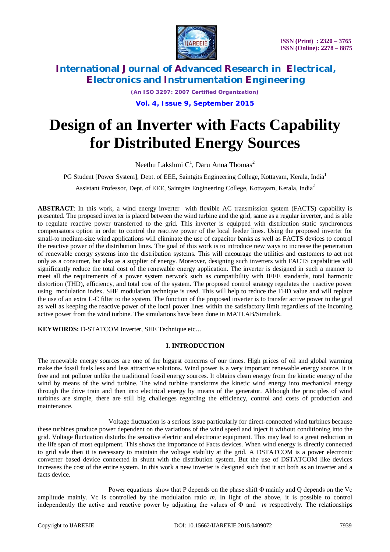

*(An ISO 3297: 2007 Certified Organization)* **Vol. 4, Issue 9, September 2015**

# **Design of an Inverter with Facts Capability for Distributed Energy Sources**

Neethu Lakshmi  $C^1$ , Daru Anna Thomas $^2$ 

PG Student [Power System], Dept. of EEE, Saintgits Engineering College, Kottayam, Kerala, India<sup>1</sup>

Assistant Professor, Dept. of EEE, Saintgits Engineering College, Kottayam, Kerala, India<sup>2</sup>

**ABSTRACT**: In this work, a wind energy inverter with flexible AC transmission system (FACTS) capability is presented. The proposed inverter is placed between the wind turbine and the grid, same as a regular inverter, and is able to regulate reactive power transferred to the grid. This inverter is equipped with distribution static synchronous compensators option in order to control the reactive power of the local feeder lines. Using the proposed inverter for small-to medium-size wind applications will eliminate the use of capacitor banks as well as FACTS devices to control the reactive power of the distribution lines. The goal of this work is to introduce new ways to increase the penetration of renewable energy systems into the distribution systems. This will encourage the utilities and customers to act not only as a consumer, but also as a supplier of energy. Moreover, designing such inverters with FACTS capabilities will significantly reduce the total cost of the renewable energy application. The inverter is designed in such a manner to meet all the requirements of a power system network such as compatibility with IEEE standards, total harmonic distortion (THD), efficiency, and total cost of the system. The proposed control strategy regulates the reactive power using modulation index. SHE modulation technique is used. This will help to reduce the THD value and will replace the use of an extra L-C filter to the system. The function of the proposed inverter is to transfer active power to the grid as well as keeping the reactive power of the local power lines within the satisfactory limit regardless of the incoming active power from the wind turbine. The simulations have been done in MATLAB/Simulink.

**KEYWORDS:** D-STATCOM Inverter, SHE Technique etc…

### **I. INTRODUCTION**

The renewable energy sources are one of the biggest concerns of our times. High prices of oil and global warming make the fossil fuels less and less attractive solutions. Wind power is a very important renewable energy source. It is free and not polluter unlike the traditional fossil energy sources. It obtains clean energy from the kinetic energy of the wind by means of the wind turbine. The wind turbine transforms the kinetic wind energy into mechanical energy through the drive train and then into electrical energy by means of the generator. Although the principles of wind turbines are simple, there are still big challenges regarding the efficiency, control and costs of production and maintenance.

Voltage fluctuation is a serious issue particularly for direct-connected wind turbines because these turbines produce power dependent on the variations of the wind speed and inject it without conditioning into the grid. Voltage fluctuation disturbs the sensitive electric and electronic equipment. This may lead to a great reduction in the life span of most equipment. This shows the importance of Facts devices. When wind energy is directly connected to grid side then it is necessary to maintain the voltage stability at the grid. A DSTATCOM is a power electronic converter based device connected in shunt with the distribution system. But the use of DSTATCOM like devices increases the cost of the entire system. In this work a new inverter is designed such that it act both as an inverter and a facts device.

Power equations show that P depends on the phase shift Φ mainly and Q depends on the Vc amplitude mainly. Vc is controlled by the modulation ratio *m*. In light of the above, it is possible to control independently the active and reactive power by adjusting the values of Φ and *m* respectively. The relationships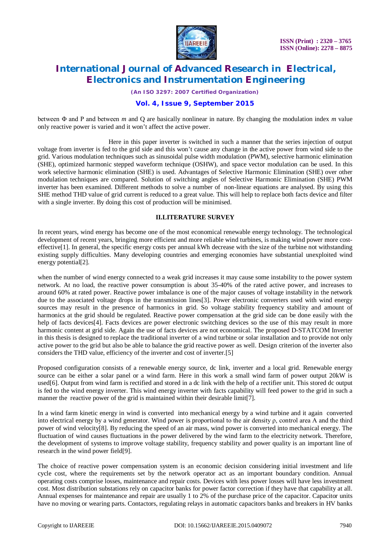

*(An ISO 3297: 2007 Certified Organization)*

### **Vol. 4, Issue 9, September 2015**

between Φ and P and between *m* and Q are basically nonlinear in nature. By changing the modulation index *m* value only reactive power is varied and it won't affect the active power.

Here in this paper inverter is switched in such a manner that the series injection of output voltage from inverter is fed to the grid side and this won't cause any change in the active power from wind side to the grid. Various modulation techniques such as sinusoidal pulse width modulation (PWM), selective harmonic elimination (SHE), optimized harmonic stepped waveform technique (OSHW), and space vector modulation can be used. In this work selective harmonic elimination (SHE) is used. Advantages of Selective Harmonic Elimination (SHE) over other modulation techniques are compared. Solution of switching angles of Selective Harmonic Elimination (SHE) PWM inverter has been examined. Different methods to solve a number of non-linear equations are analysed. By using this SHE method THD value of grid current is reduced to a great value. This will help to replace both facts device and filter with a single inverter. By doing this cost of production will be minimised.

#### **II.LITERATURE SURVEY**

In recent years, wind energy has become one of the most economical renewable energy technology. The technological development of recent years, bringing more efficient and more reliable wind turbines, is making wind power more costeffective[1]. In general, the specific energy costs per annual kWh decrease with the size of the turbine not withstanding existing supply difficulties. Many developing countries and emerging economies have substantial unexploited wind energy potential[2].

when the number of wind energy connected to a weak grid increases it may cause some instability to the power system network. At no load, the reactive power consumption is about 35-40% of the rated active power, and increases to around 60% at rated power. Reactive power imbalance is one of the major causes of voltage instability in the network due to the associated voltage drops in the transmission lines[3]. Power electronic converters used with wind energy sources may result in the presence of harmonics in grid. So voltage stability frequency stability and amount of harmonics at the grid should be regulated. Reactive power compensation at the grid side can be done easily with the help of facts devices<sup>[4]</sup>. Facts devices are power electronic switching devices so the use of this may result in more harmonic content at grid side. Again the use of facts devices are not economical. The proposed D-STATCOM Inverter in this thesis is designed to replace the traditional inverter of a wind turbine or solar installation and to provide not only active power to the grid but also be able to balance the grid reactive power as well. Design criterion of the inverter also considers the THD value, efficiency of the inverter and cost of inverter.[5]

Proposed configuration consists of a renewable energy source, dc link, inverter and a local grid. Renewable energy source can be either a solar panel or a wind farm. Here in this work a small wind farm of power output 20kW is used[6]. Output from wind farm is rectified and stored in a dc link with the help of a rectifier unit. This stored dc output is fed to the wind energy inverter. This wind energy inverter with facts capability will feed power to the grid in such a manner the reactive power of the grid is maintained within their desirable limit[7].

In a wind farm kinetic energy in wind is converted into mechanical energy by a wind turbine and it again converted into electrical energy by a wind generator. Wind power is proportional to the air density ρ, control area A and the third power of wind velocity[8]. By reducing the speed of an air mass, wind power is converted into mechanical energy. The fluctuation of wind causes fluctuations in the power delivered by the wind farm to the electricity network. Therefore, the development of systems to improve voltage stability, frequency stability and power quality is an important line of research in the wind power field[9].

The choice of reactive power compensation system is an economic decision considering initial investment and life cycle cost, where the requirements set by the network operator act as an important boundary condition. Annual operating costs comprise losses, maintenance and repair costs. Devices with less power losses will have less investment cost. Most distribution substations rely on capacitor banks for power factor correction if they have that capability at all. Annual expenses for maintenance and repair are usually 1 to 2% of the purchase price of the capacitor. Capacitor units have no moving or wearing parts. Contactors, regulating relays in automatic capacitors banks and breakers in HV banks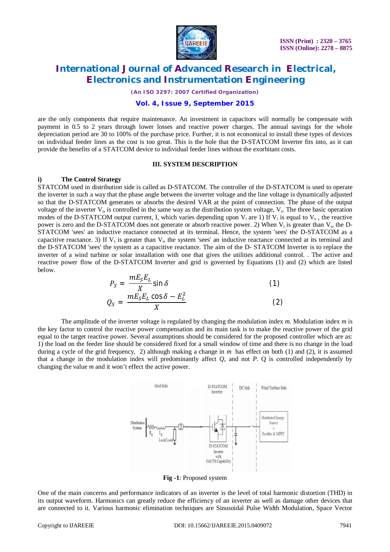

*(An ISO 3297: 2007 Certified Organization)*

#### **Vol. 4, Issue 9, September 2015**

are the only components that require maintenance. An investment in capacitors will normally be compensate with payment in 0.5 to 2 years through lower losses and reactive power charges. The annual savings for the whole depreciation period are 30 to 100% of the purchase price. Further, it is not economical to install these types of devices on individual feeder lines as the cost is too great. This is the hole that the D-STATCOM Inverter fits into, as it can provide the benefits of a STATCOM device to individual feeder lines without the exorbitant costs.

#### **III. SYSTEM DESCRIPTION**

#### **i) The Control Strategy**

STATCOM used in distribution side is called as D-STATCOM. The controller of the D-STATCOM is used to operate the inverter in such a way that the phase angle between the inverter voltage and the line voltage is dynamically adjusted so that the D-STATCOM generates or absorbs the desired VAR at the point of connection. The phase of the output voltage of the inverter  $V_i$ , is controlled in the same way as the distribution system voltage,  $V_s$ . The three basic operation modes of the D-STATCOM output current, I, which varies depending upon  $V_i$  are 1) If  $V_i$  is equal to  $V_s$ , the reactive power is zero and the D-STATCOM does not generate or absorb reactive power. 2) When  $V_i$  is greater than  $V_s$ , the D-STATCOM 'sees' an inductive reactance connected at its terminal. Hence, the system 'sees' the D-STATCOM as a capacitive reactance. 3) If  $V_s$  is greater than  $V_i$ , the system 'sees' an inductive reactance connected at its terminal and the D-STATCOM 'sees' the system as a capacitive reactance. The aim of the D- STATCOM Inverter is to replace the inverter of a wind turbine or solar installation with one that gives the utilities additional control. . The active and reactive power flow of the D-STATCOM Inverter and grid is governed by Equations (1) and (2) which are listed below.  $^{\prime}$ 

$$
P_S = \frac{mE_S E_L}{X} \sin \delta
$$
\n
$$
Q_S = \frac{mE_S E_L \cos \delta - E_L^2}{X}
$$
\n(1)

The amplitude of the inverter voltage is regulated by changing the modulation index *m.* Modulation index *m* is the key factor to control the reactive power compensation and its main task is to make the reactive power of the grid equal to the target reactive power. Several assumptions should be considered for the proposed controller which are as: 1) the load on the feeder line should be considered fixed for a small window of time and there is no change in the load during a cycle of the grid frequency, 2) although making a change in *m* has effect on both (1) and (2), it is assumed that a change in the modulation index will predominantly affect  $Q$ , and not  $P$ .  $Q$  is controlled independently by changing the value *m* and it won't effect the active power.



**Fig -1**: Proposed system

One of the main concerns and performance indicators of an inverter is the level of total harmonic distortion (THD) in its output waveform. Harmonics can greatly reduce the efficiency of an inverter as well as damage other devices that are connected to it. Various harmonic elimination techniques are Sinusoidal Pulse Width Modulation, Space Vector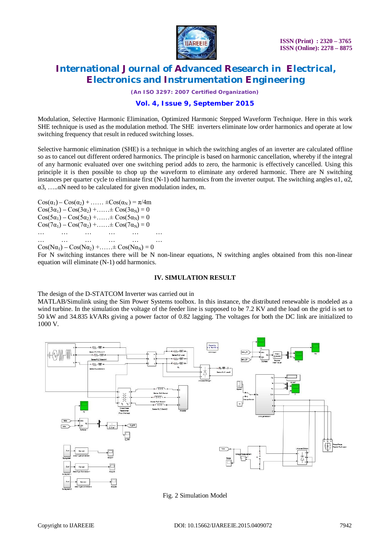

*(An ISO 3297: 2007 Certified Organization)*

### **Vol. 4, Issue 9, September 2015**

Modulation, Selective Harmonic Elimination, Optimized Harmonic Stepped Waveform Technique. Here in this work SHE technique is used as the modulation method. The SHE inverters eliminate low order harmonics and operate at low switching frequency that result in reduced switching losses.

Selective harmonic elimination (SHE) is a technique in which the switching angles of an inverter are calculated offline so as to cancel out different ordered harmonics. The principle is based on harmonic cancellation, whereby if the integral of any harmonic evaluated over one switching period adds to zero, the harmonic is effectively cancelled. Using this principle it is then possible to chop up the waveform to eliminate any ordered harmonic. There are N switching instances per quarter cycle to eliminate first (N-1) odd harmonics from the inverter output. The switching angles  $\alpha$ 1,  $\alpha$ 2,  $\alpha$ 3, .... $\alpha$ N need to be calculated for given modulation index, m.

 $\cos(\alpha_1) - \cos(\alpha_2) + \dots + \cos(\alpha_N) = \pi/4m$  $\cos(3\alpha_1) - \cos(3\alpha_2) + \dots + \cos(3\alpha_N) = 0$  $\cos(5\alpha_1) - \cos(5\alpha_2) + \dots + \cos(5\alpha_N) = 0$  $Cos(7\alpha_1) - Cos(7\alpha_2) + \dots + Cos(7\alpha_N) = 0$ … … … … … … … … … … … …

 $Cos(N\alpha_1) - Cos(N\alpha_2) + \ldots + Cos(N\alpha_N) = 0$ 

For N switching instances there will be N non-linear equations, N switching angles obtained from this non-linear equation will eliminate (N-1) odd harmonics.

#### **IV. SIMULATION RESULT**

The design of the D-STATCOM Inverter was carried out in

MATLAB/Simulink using the Sim Power Systems toolbox. In this instance, the distributed renewable is modeled as a wind turbine. In the simulation the voltage of the feeder line is supposed to be 7.2 KV and the load on the grid is set to 50 kW and 34.835 kVARs giving a power factor of 0.82 lagging. The voltages for both the DC link are initialized to 1000 V.



Fig. 2 Simulation Model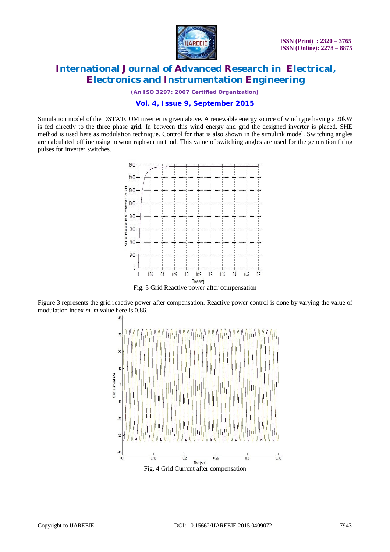

*(An ISO 3297: 2007 Certified Organization)*

### **Vol. 4, Issue 9, September 2015**

Simulation model of the DSTATCOM inverter is given above. A renewable energy source of wind type having a 20kW is fed directly to the three phase grid. In between this wind energy and grid the designed inverter is placed. SHE method is used here as modulation technique. Control for that is also shown in the simulink model. Switching angles are calculated offline using newton raphson method. This value of switching angles are used for the generation firing pulses for inverter switches.



Figure 3 represents the grid reactive power after compensation. Reactive power control is done by varying the value of modulation index *m*. *m* value here is 0.86.

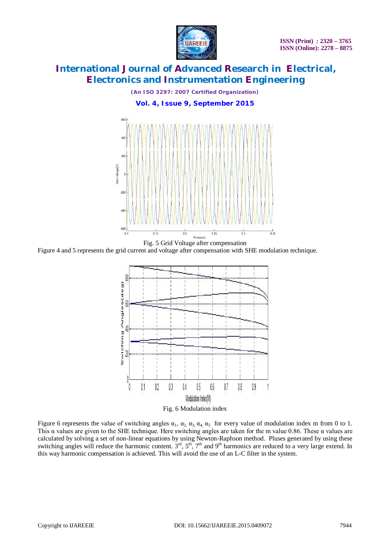

*(An ISO 3297: 2007 Certified Organization)* **Vol. 4, Issue 9, September 2015**



Figure 4 and 5 represents the grid current and voltage after compensation with SHE modulation technique.



Figure 6 represents the value of switching angles  $\alpha_1$ ,  $\alpha_2$ ,  $\alpha_3$ ,  $\alpha_4$ ,  $\alpha_5$  for every value of modulation index m from 0 to 1. This α values are given to the SHE technique. Here switching angles are taken for the m value 0.86. These α values are calculated by solving a set of non-linear equations by using Newton-Raphson method. Pluses generated by using these switching angles will reduce the harmonic content.  $3<sup>rd</sup>$ ,  $5<sup>th</sup>$ ,  $7<sup>th</sup>$  and  $9<sup>th</sup>$  harmonics are reduced to a very large extend. In this way harmonic compensation is achieved. This will avoid the use of an L-C filter in the system.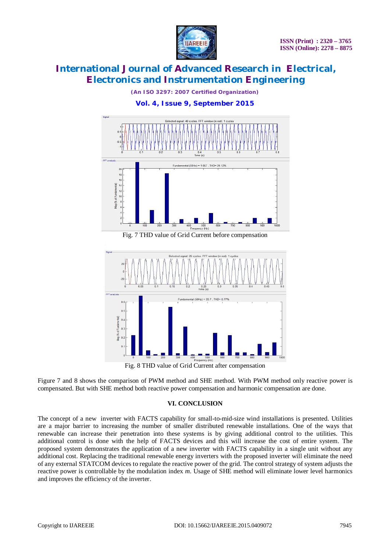

*(An ISO 3297: 2007 Certified Organization)* **Vol. 4, Issue 9, September 2015**





Fig. 8 THD value of Grid Current after compensation

Figure 7 and 8 shows the comparison of PWM method and SHE method. With PWM method only reactive power is compensated. But with SHE method both reactive power compensation and harmonic compensation are done.

### **VI. CONCLUSION**

The concept of a new inverter with FACTS capability for small-to-mid-size wind installations is presented. Utilities are a major barrier to increasing the number of smaller distributed renewable installations. One of the ways that renewable can increase their penetration into these systems is by giving additional control to the utilities. This additional control is done with the help of FACTS devices and this will increase the cost of entire system. The proposed system demonstrates the application of a new inverter with FACTS capability in a single unit without any additional cost. Replacing the traditional renewable energy inverters with the proposed inverter will eliminate the need of any external STATCOM devices to regulate the reactive power of the grid. The control strategy of system adjusts the reactive power is controllable by the modulation index *m*. Usage of SHE method will eliminate lower level harmonics and improves the efficiency of the inverter.